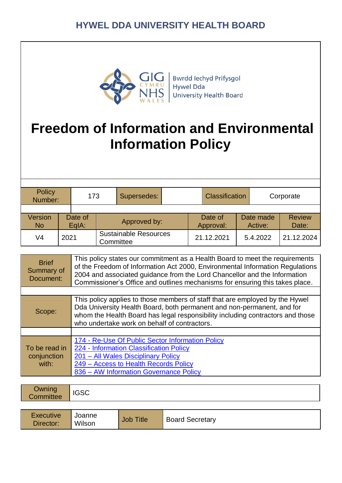

**Bwrdd lechyd Prifysgol** Hywel Dda **University Health Board** 

# **Freedom of Information and Environmental Information Policy**

| Policy<br>Number:           |      | 173              |              | Supersedes:                               |  | <b>Classification</b> |            | Corporate            |                        |            |
|-----------------------------|------|------------------|--------------|-------------------------------------------|--|-----------------------|------------|----------------------|------------------------|------------|
|                             |      |                  |              |                                           |  |                       |            |                      |                        |            |
| <b>Version</b><br><b>No</b> |      | Date of<br>EgIA: | Approved by: |                                           |  | Date of<br>Approval:  |            | Date made<br>Active: | <b>Review</b><br>Date: |            |
| V4                          | 2021 |                  |              | <b>Sustainable Resources</b><br>Committee |  |                       | 21.12.2021 |                      | 5.4.2022               | 21.12.2024 |

| <b>Brief</b><br>Summary of<br>Document: | This policy states our commitment as a Health Board to meet the requirements<br>of the Freedom of Information Act 2000, Environmental Information Regulations<br>2004 and associated guidance from the Lord Chancellor and the Information<br>Commissioner's Office and outlines mechanisms for ensuring this takes place. |
|-----------------------------------------|----------------------------------------------------------------------------------------------------------------------------------------------------------------------------------------------------------------------------------------------------------------------------------------------------------------------------|
|                                         |                                                                                                                                                                                                                                                                                                                            |
| Scope:                                  | This policy applies to those members of staff that are employed by the Hywel<br>Dda University Health Board, both permanent and non-permanent, and for<br>whom the Health Board has legal responsibility including contractors and those<br>who undertake work on behalf of contractors.                                   |
|                                         |                                                                                                                                                                                                                                                                                                                            |
| To be read in<br>conjunction<br>with:   | 174 - Re-Use Of Public Sector Information Policy<br>224 - Information Classification Policy<br>201 - All Wales Disciplinary Policy<br>249 - Access to Health Records Policy<br>836 – AW Information Governance Policy                                                                                                      |

| Owning<br>Committee           | <b>IGSC</b>      |                  |                        |  |
|-------------------------------|------------------|------------------|------------------------|--|
|                               |                  |                  |                        |  |
| <b>Executive</b><br>Director: | Joanne<br>Wilson | <b>Job Title</b> | <b>Board Secretary</b> |  |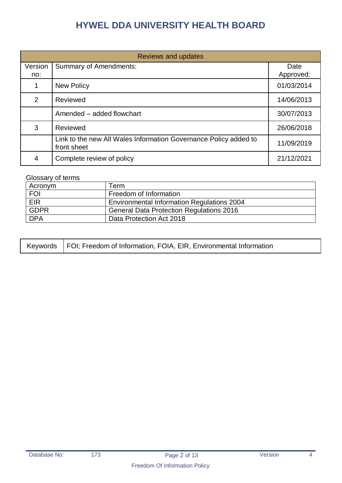| <b>Reviews and updates</b> |                                                                                 |                   |  |  |  |
|----------------------------|---------------------------------------------------------------------------------|-------------------|--|--|--|
| Version<br>no:             | <b>Summary of Amendments:</b>                                                   | Date<br>Approved: |  |  |  |
|                            | <b>New Policy</b>                                                               | 01/03/2014        |  |  |  |
| 2                          | Reviewed                                                                        | 14/06/2013        |  |  |  |
|                            | Amended – added flowchart                                                       | 30/07/2013        |  |  |  |
| 3                          | Reviewed                                                                        | 26/06/2018        |  |  |  |
|                            | Link to the new All Wales Information Governance Policy added to<br>front sheet | 11/09/2019        |  |  |  |
| 4                          | Complete review of policy                                                       | 21/12/2021        |  |  |  |

#### Glossary of terms

| Acronym     | ∣erm.                                             |
|-------------|---------------------------------------------------|
| <b>FOI</b>  | Freedom of Information                            |
| <b>EIR</b>  | <b>Environmental Information Regulations 2004</b> |
| <b>GDPR</b> | <b>General Data Protection Regulations 2016</b>   |
| <b>DPA</b>  | Data Protection Act 2018                          |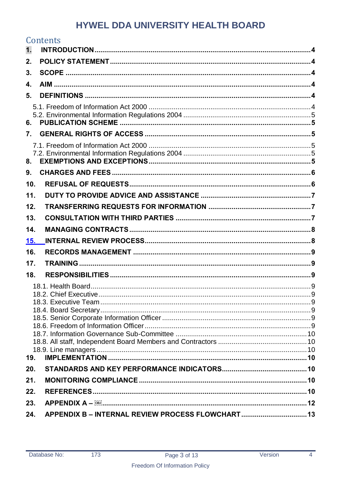|                  | Contents                                              |  |
|------------------|-------------------------------------------------------|--|
| 1.               |                                                       |  |
| 2.               |                                                       |  |
| 3.               |                                                       |  |
| 4.               |                                                       |  |
| 5.               |                                                       |  |
| 6.               |                                                       |  |
| $\overline{7}$ . |                                                       |  |
| 8.               |                                                       |  |
| 9.               |                                                       |  |
| 10.              |                                                       |  |
| 11.              |                                                       |  |
| 12.              |                                                       |  |
| 13.              |                                                       |  |
| 14.              |                                                       |  |
| 15.              |                                                       |  |
| 16.              |                                                       |  |
| 17.              |                                                       |  |
| 18.              |                                                       |  |
|                  |                                                       |  |
|                  |                                                       |  |
|                  |                                                       |  |
| 19.              |                                                       |  |
| 20.              |                                                       |  |
| 21.              |                                                       |  |
| 22.              |                                                       |  |
| 23.              | APPENDIX A – <b>@Mindelectual Construction (2008)</b> |  |
| 24.              | APPENDIX B - INTERNAL REVIEW PROCESS FLOWCHART 13     |  |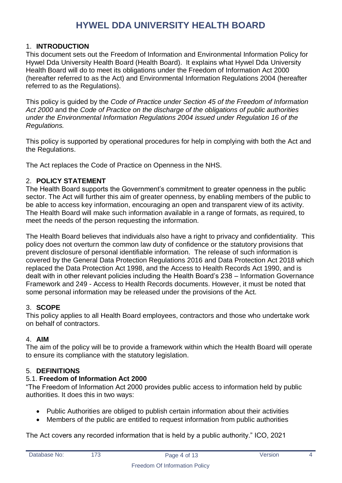### <span id="page-3-0"></span>1. **INTRODUCTION**

This document sets out the Freedom of Information and Environmental Information Policy for Hywel Dda University Health Board (Health Board). It explains what Hywel Dda University Health Board will do to meet its obligations under the Freedom of Information Act 2000 (hereafter referred to as the Act) and Environmental Information Regulations 2004 (hereafter referred to as the Regulations).

This policy is guided by the *Code of Practice under Section 45 of the Freedom of Information Act 2000* and the *Code of Practice on the discharge of the obligations of public authorities under the Environmental Information Regulations 2004 issued under Regulation 16 of the Regulations.*

This policy is supported by operational procedures for help in complying with both the Act and the Regulations.

The Act replaces the Code of Practice on Openness in the NHS.

### <span id="page-3-1"></span>2. **POLICY STATEMENT**

The Health Board supports the Government's commitment to greater openness in the public sector. The Act will further this aim of greater openness, by enabling members of the public to be able to access key information, encouraging an open and transparent view of its activity. The Health Board will make such information available in a range of formats, as required, to meet the needs of the person requesting the information.

The Health Board believes that individuals also have a right to privacy and confidentiality. This policy does not overturn the common law duty of confidence or the statutory provisions that prevent disclosure of personal identifiable information. The release of such information is covered by the General Data Protection Regulations 2016 and Data Protection Act 2018 which replaced the Data Protection Act 1998, and the Access to Health Records Act 1990, and is dealt with in other relevant policies including the Health Board's 238 – Information Governance Framework and 249 - Access to Health Records documents. However, it must be noted that some personal information may be released under the provisions of the Act.

### <span id="page-3-2"></span>3. **SCOPE**

This policy applies to all Health Board employees, contractors and those who undertake work on behalf of contractors.

### <span id="page-3-3"></span>4. **AIM**

The aim of the policy will be to provide a framework within which the Health Board will operate to ensure its compliance with the statutory legislation.

### <span id="page-3-4"></span>5. **DEFINITIONS**

### <span id="page-3-5"></span>5.1. **Freedom of Information Act 2000**

"The Freedom of Information Act 2000 provides public access to information held by public authorities. It does this in two ways:

- Public Authorities are obliged to publish certain information about their activities
- Members of the public are entitled to request information from public authorities

The Act covers any recorded information that is held by a public authority." ICO, 2021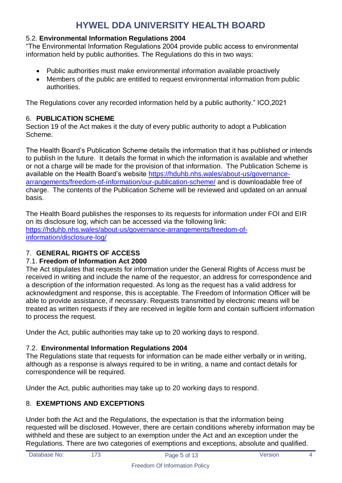### <span id="page-4-0"></span>5.2. **Environmental Information Regulations 2004**

"The Environmental Information Regulations 2004 provide public access to environmental information held by public authorities. The Regulations do this in two ways:

- Public authorities must make environmental information available proactively
- Members of the public are entitled to request environmental information from public authorities.

The Regulations cover any recorded information held by a public authority." ICO,2021

### <span id="page-4-1"></span>6. **PUBLICATION SCHEME**

Section 19 of the Act makes it the duty of every public authority to adopt a Publication Scheme.

The Health Board's Publication Scheme details the information that it has published or intends to publish in the future. It details the format in which the information is available and whether or not a charge will be made for the provision of that information. The Publication Scheme is available on the Health Board's website [https://hduhb.nhs.wales/about-us/governance](https://hduhb.nhs.wales/about-us/governance-arrangements/freedom-of-information/our-publication-scheme/)[arrangements/freedom-of-information/our-publication-scheme/](https://hduhb.nhs.wales/about-us/governance-arrangements/freedom-of-information/our-publication-scheme/) and is downloadable free of charge. The contents of the Publication Scheme will be reviewed and updated on an annual basis.

The Health Board publishes the responses to its requests for information under FOI and EIR on its disclosure log, which can be accessed via the following link: [https://hduhb.nhs.wales/about-us/governance-arrangements/freedom-of](https://hduhb.nhs.wales/about-us/governance-arrangements/freedom-of-information/disclosure-log/)[information/disclosure-log/](https://hduhb.nhs.wales/about-us/governance-arrangements/freedom-of-information/disclosure-log/)

### <span id="page-4-2"></span>7. **GENERAL RIGHTS OF ACCESS**

### <span id="page-4-3"></span>7.1. **Freedom of Information Act 2000**

The Act stipulates that requests for information under the General Rights of Access must be received in writing and include the name of the requestor, an address for correspondence and a description of the information requested. As long as the request has a valid address for acknowledgment and response, this is acceptable. The Freedom of Information Officer will be able to provide assistance, if necessary. Requests transmitted by electronic means will be treated as written requests if they are received in legible form and contain sufficient information to process the request.

Under the Act, public authorities may take up to 20 working days to respond.

### <span id="page-4-4"></span>7.2. **Environmental Information Regulations 2004**

The Regulations state that requests for information can be made either verbally or in writing, although as a response is always required to be in writing, a name and contact details for correspondence will be required.

Under the Act, public authorities may take up to 20 working days to respond.

### <span id="page-4-5"></span>8. **EXEMPTIONS AND EXCEPTIONS**

Under both the Act and the Regulations, the expectation is that the information being requested will be disclosed. However, there are certain conditions whereby information may be withheld and these are subject to an exemption under the Act and an exception under the Regulations. There are two categories of exemptions and exceptions, absolute and qualified.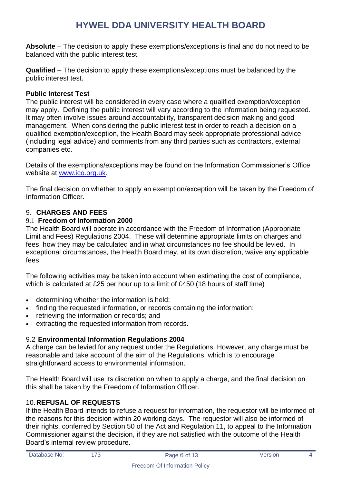**Absolute** – The decision to apply these exemptions/exceptions is final and do not need to be balanced with the public interest test.

**Qualified** – The decision to apply these exemptions/exceptions must be balanced by the public interest test.

#### **Public Interest Test**

The public interest will be considered in every case where a qualified exemption/exception may apply. Defining the public interest will vary according to the information being requested. It may often involve issues around accountability, transparent decision making and good management. When considering the public interest test in order to reach a decision on a qualified exemption/exception, the Health Board may seek appropriate professional advice (including legal advice) and comments from any third parties such as contractors, external companies etc.

Details of the exemptions/exceptions may be found on the Information Commissioner's Office website at [www.ico.org.uk.](http://www.ico.org.uk/)

The final decision on whether to apply an exemption/exception will be taken by the Freedom of Information Officer.

### <span id="page-5-0"></span>9. **CHARGES AND FEES**

### 9.1 **Freedom of Information 2000**

The Health Board will operate in accordance with the Freedom of Information (Appropriate Limit and Fees) Regulations 2004. These will determine appropriate limits on charges and fees, how they may be calculated and in what circumstances no fee should be levied. In exceptional circumstances, the Health Board may, at its own discretion, waive any applicable fees.

The following activities may be taken into account when estimating the cost of compliance, which is calculated at £25 per hour up to a limit of £450 (18 hours of staff time):

- determining whether the information is held;
- finding the requested information, or records containing the information;
- retrieving the information or records; and
- extracting the requested information from records.

### 9.2 **Environmental Information Regulations 2004**

A charge can be levied for any request under the Regulations. However, any charge must be reasonable and take account of the aim of the Regulations, which is to encourage straightforward access to environmental information.

The Health Board will use its discretion on when to apply a charge, and the final decision on this shall be taken by the Freedom of Information Officer.

### <span id="page-5-1"></span>10.**REFUSAL OF REQUESTS**

If the Health Board intends to refuse a request for information, the requestor will be informed of the reasons for this decision within 20 working days. The requestor will also be informed of their rights, conferred by Section 50 of the Act and Regulation 11, to appeal to the Information Commissioner against the decision, if they are not satisfied with the outcome of the Health Board's internal review procedure.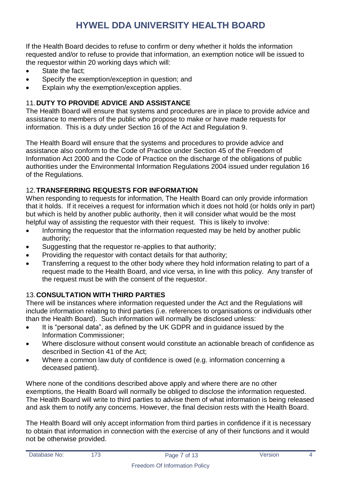If the Health Board decides to refuse to confirm or deny whether it holds the information requested and/or to refuse to provide that information, an exemption notice will be issued to the requestor within 20 working days which will:

- State the fact;
- Specify the exemption/exception in question; and
- Explain why the exemption/exception applies.

### <span id="page-6-0"></span>11.**DUTY TO PROVIDE ADVICE AND ASSISTANCE**

The Health Board will ensure that systems and procedures are in place to provide advice and assistance to members of the public who propose to make or have made requests for information. This is a duty under Section 16 of the Act and Regulation 9.

The Health Board will ensure that the systems and procedures to provide advice and assistance also conform to the Code of Practice under Section 45 of the Freedom of Information Act 2000 and the Code of Practice on the discharge of the obligations of public authorities under the Environmental Information Regulations 2004 issued under regulation 16 of the Regulations.

### <span id="page-6-1"></span>12.**TRANSFERRING REQUESTS FOR INFORMATION**

When responding to requests for information, The Health Board can only provide information that it holds. If it receives a request for information which it does not hold (or holds only in part) but which is held by another public authority, then it will consider what would be the most helpful way of assisting the requestor with their request. This is likely to involve:

- Informing the requestor that the information requested may be held by another public authority;
- Suggesting that the requestor re-applies to that authority;
- Providing the requestor with contact details for that authority;
- Transferring a request to the other body where they hold information relating to part of a request made to the Health Board, and vice versa, in line with this policy. Any transfer of the request must be with the consent of the requestor.

### <span id="page-6-2"></span>13.**CONSULTATION WITH THIRD PARTIES**

There will be instances where information requested under the Act and the Regulations will include information relating to third parties (i.e. references to organisations or individuals other than the Health Board). Such information will normally be disclosed unless:

- It is "personal data", as defined by the UK GDPR and in guidance issued by the Information Commissioner;
- Where disclosure without consent would constitute an actionable breach of confidence as described in Section 41 of the Act;
- Where a common law duty of confidence is owed (e.g. information concerning a deceased patient).

Where none of the conditions described above apply and where there are no other exemptions, the Health Board will normally be obliged to disclose the information requested. The Health Board will write to third parties to advise them of what information is being released and ask them to notify any concerns. However, the final decision rests with the Health Board.

The Health Board will only accept information from third parties in confidence if it is necessary to obtain that information in connection with the exercise of any of their functions and it would not be otherwise provided.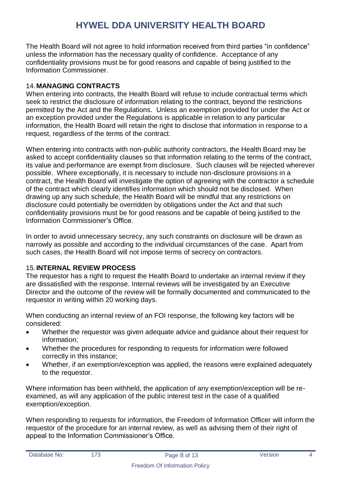The Health Board will not agree to hold information received from third parties "in confidence" unless the information has the necessary quality of confidence. Acceptance of any confidentiality provisions must be for good reasons and capable of being justified to the Information Commissioner.

### <span id="page-7-0"></span>14.**MANAGING CONTRACTS**

When entering into contracts, the Health Board will refuse to include contractual terms which seek to restrict the disclosure of information relating to the contract, beyond the restrictions permitted by the Act and the Regulations. Unless an exemption provided for under the Act or an exception provided under the Regulations is applicable in relation to any particular information, the Health Board will retain the right to disclose that information in response to a request, regardless of the terms of the contract.

When entering into contracts with non-public authority contractors, the Health Board may be asked to accept confidentiality clauses so that information relating to the terms of the contract, its value and performance are exempt from disclosure. Such clauses will be rejected wherever possible. Where exceptionally, it is necessary to include non-disclosure provisions in a contract, the Health Board will investigate the option of agreeing with the contractor a schedule of the contract which clearly identifies information which should not be disclosed. When drawing up any such schedule, the Health Board will be mindful that any restrictions on disclosure could potentially be overridden by obligations under the Act and that such confidentiality provisions must be for good reasons and be capable of being justified to the Information Commissioner's Office.

In order to avoid unnecessary secrecy, any such constraints on disclosure will be drawn as narrowly as possible and according to the individual circumstances of the case. Apart from such cases, the Health Board will not impose terms of secrecy on contractors.

### <span id="page-7-1"></span>15.**INTERNAL REVIEW PROCESS**

The requestor has a right to request the Health Board to undertake an internal review if they are dissatisfied with the response. Internal reviews will be investigated by an Executive Director and the outcome of the review will be formally documented and communicated to the requestor in writing within 20 working days.

When conducting an internal review of an FOI response, the following key factors will be considered:

- Whether the requestor was given adequate advice and guidance about their request for information;
- Whether the procedures for responding to requests for information were followed correctly in this instance;
- Whether, if an exemption/exception was applied, the reasons were explained adequately to the requestor.

Where information has been withheld, the application of any exemption/exception will be reexamined, as will any application of the public interest test in the case of a qualified exemption/exception.

When responding to requests for information, the Freedom of Information Officer will inform the requestor of the procedure for an internal review, as well as advising them of their right of appeal to the Information Commissioner's Office.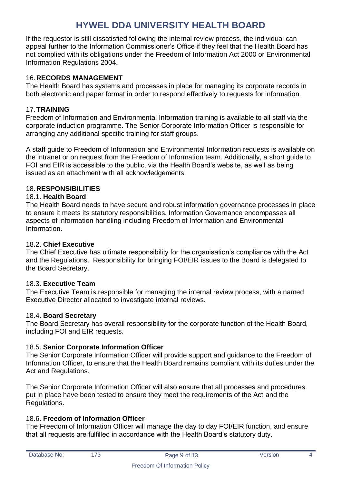If the requestor is still dissatisfied following the internal review process, the individual can appeal further to the Information Commissioner's Office if they feel that the Health Board has not complied with its obligations under the Freedom of Information Act 2000 or Environmental Information Regulations 2004.

### <span id="page-8-0"></span>16.**RECORDS MANAGEMENT**

The Health Board has systems and processes in place for managing its corporate records in both electronic and paper format in order to respond effectively to requests for information.

### <span id="page-8-1"></span>17.**TRAINING**

Freedom of Information and Environmental Information training is available to all staff via the corporate induction programme. The Senior Corporate Information Officer is responsible for arranging any additional specific training for staff groups.

A staff guide to Freedom of Information and Environmental Information requests is available on the intranet or on request from the Freedom of Information team. Additionally, a short guide to FOI and EIR is accessible to the public, via the Health Board's website, as well as being issued as an attachment with all acknowledgements.

### <span id="page-8-2"></span>18.**RESPONSIBILITIES**

#### <span id="page-8-3"></span>18.1. **Health Board**

The Health Board needs to have secure and robust information governance processes in place to ensure it meets its statutory responsibilities. Information Governance encompasses all aspects of information handling including Freedom of Information and Environmental Information.

#### <span id="page-8-4"></span>18.2. **Chief Executive**

The Chief Executive has ultimate responsibility for the organisation's compliance with the Act and the Regulations. Responsibility for bringing FOI/EIR issues to the Board is delegated to the Board Secretary.

### <span id="page-8-5"></span>18.3. **Executive Team**

The Executive Team is responsible for managing the internal review process, with a named Executive Director allocated to investigate internal reviews.

#### <span id="page-8-6"></span>18.4. **Board Secretary**

The Board Secretary has overall responsibility for the corporate function of the Health Board, including FOI and EIR requests.

### <span id="page-8-7"></span>18.5. **Senior Corporate Information Officer**

The Senior Corporate Information Officer will provide support and guidance to the Freedom of Information Officer, to ensure that the Health Board remains compliant with its duties under the Act and Regulations.

The Senior Corporate Information Officer will also ensure that all processes and procedures put in place have been tested to ensure they meet the requirements of the Act and the Regulations.

### <span id="page-8-8"></span>18.6. **Freedom of Information Officer**

The Freedom of Information Officer will manage the day to day FOI/EIR function, and ensure that all requests are fulfilled in accordance with the Health Board's statutory duty.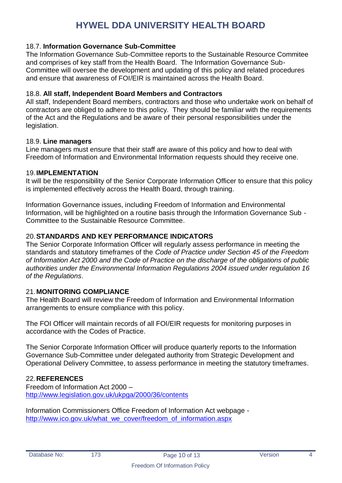#### <span id="page-9-0"></span>18.7. **Information Governance Sub-Committee**

The Information Governance Sub-Committee reports to the Sustainable Resource Commitee and comprises of key staff from the Health Board. The Information Governance Sub-Committee will oversee the development and updating of this policy and related procedures and ensure that awareness of FOI/EIR is maintained across the Health Board.

#### <span id="page-9-1"></span>18.8. **All staff, Independent Board Members and Contractors**

All staff, Independent Board members, contractors and those who undertake work on behalf of contractors are obliged to adhere to this policy. They should be familiar with the requirements of the Act and the Regulations and be aware of their personal responsibilities under the legislation.

#### <span id="page-9-2"></span>18.9. **Line managers**

Line managers must ensure that their staff are aware of this policy and how to deal with Freedom of Information and Environmental Information requests should they receive one.

#### <span id="page-9-3"></span>19.**IMPLEMENTATION**

It will be the responsibility of the Senior Corporate Information Officer to ensure that this policy is implemented effectively across the Health Board, through training.

Information Governance issues, including Freedom of Information and Environmental Information, will be highlighted on a routine basis through the Information Governance Sub - Committee to the Sustainable Resource Committee.

#### <span id="page-9-4"></span>20.**STANDARDS AND KEY PERFORMANCE INDICATORS**

The Senior Corporate Information Officer will regularly assess performance in meeting the standards and statutory timeframes of the *Code of Practice under Section 45 of the Freedom of Information Act 2000 and the Code of Practice on the discharge of the obligations of public authorities under the Environmental Information Regulations 2004 issued under regulation 16 of the Regulations*.

#### <span id="page-9-5"></span>21.**MONITORING COMPLIANCE**

The Health Board will review the Freedom of Information and Environmental Information arrangements to ensure compliance with this policy.

The FOI Officer will maintain records of all FOI/EIR requests for monitoring purposes in accordance with the Codes of Practice.

The Senior Corporate Information Officer will produce quarterly reports to the Information Governance Sub-Committee under delegated authority from Strategic Development and Operational Delivery Committee, to assess performance in meeting the statutory timeframes.

#### <span id="page-9-6"></span>22.**REFERENCES**

Freedom of Information Act 2000 – <http://www.legislation.gov.uk/ukpga/2000/36/contents>

Information Commissioners Office Freedom of Information Act webpage [http://www.ico.gov.uk/what\\_we\\_cover/freedom\\_of\\_information.aspx](http://www.ico.gov.uk/what_we_cover/freedom_of_information.aspx)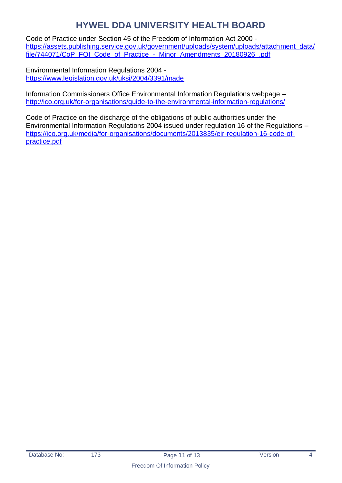Code of Practice under Section 45 of the Freedom of Information Act 2000 [https://assets.publishing.service.gov.uk/government/uploads/system/uploads/attachment\\_data/](https://assets.publishing.service.gov.uk/government/uploads/system/uploads/attachment_data/file/744071/CoP_FOI_Code_of_Practice_-_Minor_Amendments_20180926_.pdf) [file/744071/CoP\\_FOI\\_Code\\_of\\_Practice\\_-\\_Minor\\_Amendments\\_20180926\\_.pdf](https://assets.publishing.service.gov.uk/government/uploads/system/uploads/attachment_data/file/744071/CoP_FOI_Code_of_Practice_-_Minor_Amendments_20180926_.pdf)

Environmental Information Regulations 2004 <https://www.legislation.gov.uk/uksi/2004/3391/made>

Information Commissioners Office Environmental Information Regulations webpage – <http://ico.org.uk/for-organisations/guide-to-the-environmental-information-regulations/>

Code of Practice on the discharge of the obligations of public authorities under the Environmental Information Regulations 2004 issued under regulation 16 of the Regulations – [https://ico.org.uk/media/for-organisations/documents/2013835/eir-regulation-16-code-of](https://ico.org.uk/media/for-organisations/documents/2013835/eir-regulation-16-code-of-practice.pdf)[practice.pdf](https://ico.org.uk/media/for-organisations/documents/2013835/eir-regulation-16-code-of-practice.pdf)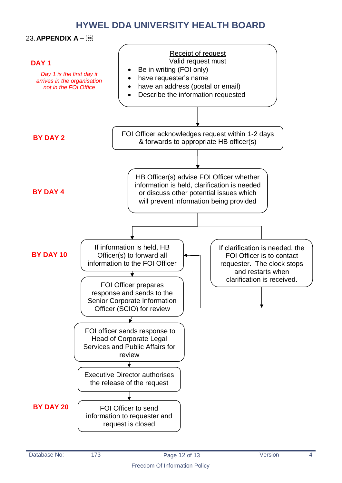23.**APPENDIX A –** 

<span id="page-11-0"></span>